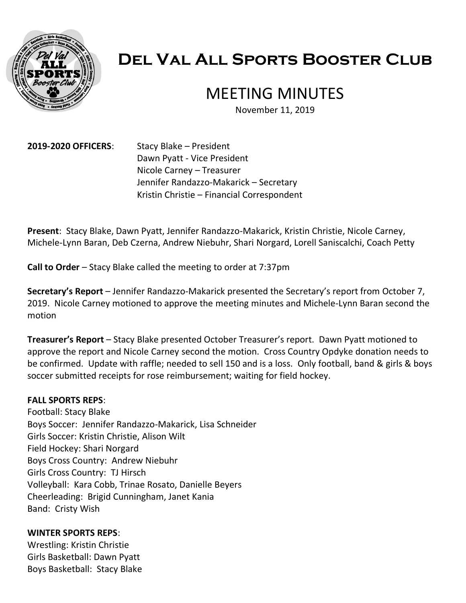

# **Del Val All Sports Booster Club**

## MEETING MINUTES

November 11, 2019

2019-2020 OFFICERS: Stacy Blake – President Dawn Pyatt - Vice President Nicole Carney – Treasurer Jennifer Randazzo-Makarick – Secretary Kristin Christie – Financial Correspondent

**Present**: Stacy Blake, Dawn Pyatt, Jennifer Randazzo-Makarick, Kristin Christie, Nicole Carney, Michele-Lynn Baran, Deb Czerna, Andrew Niebuhr, Shari Norgard, Lorell Saniscalchi, Coach Petty

**Call to Order** – Stacy Blake called the meeting to order at 7:37pm

**Secretary's Report** – Jennifer Randazzo-Makarick presented the Secretary's report from October 7, 2019. Nicole Carney motioned to approve the meeting minutes and Michele-Lynn Baran second the motion

**Treasurer's Report** – Stacy Blake presented October Treasurer's report. Dawn Pyatt motioned to approve the report and Nicole Carney second the motion. Cross Country Opdyke donation needs to be confirmed. Update with raffle; needed to sell 150 and is a loss. Only football, band & girls & boys soccer submitted receipts for rose reimbursement; waiting for field hockey.

### **FALL SPORTS REPS**:

Football: Stacy Blake Boys Soccer: Jennifer Randazzo-Makarick, Lisa Schneider Girls Soccer: Kristin Christie, Alison Wilt Field Hockey: Shari Norgard Boys Cross Country: Andrew Niebuhr Girls Cross Country: TJ Hirsch Volleyball: Kara Cobb, Trinae Rosato, Danielle Beyers Cheerleading: Brigid Cunningham, Janet Kania Band: Cristy Wish

#### **WINTER SPORTS REPS**:

Wrestling: Kristin Christie Girls Basketball: Dawn Pyatt Boys Basketball: Stacy Blake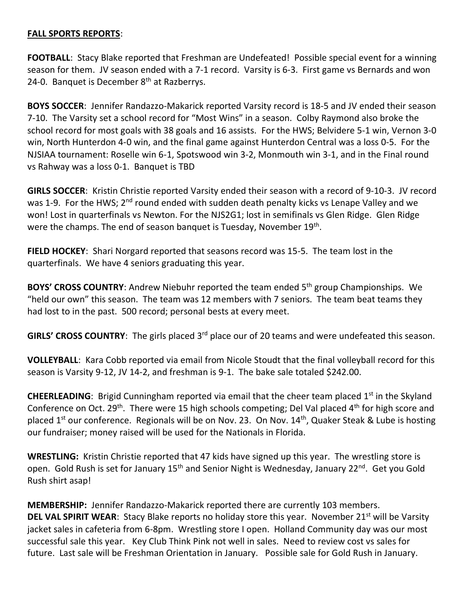#### **FALL SPORTS REPORTS**:

**FOOTBALL**: Stacy Blake reported that Freshman are Undefeated! Possible special event for a winning season for them. JV season ended with a 7-1 record. Varsity is 6-3. First game vs Bernards and won 24-0. Banquet is December  $8<sup>th</sup>$  at Razberrys.

**BOYS SOCCER**: Jennifer Randazzo-Makarick reported Varsity record is 18-5 and JV ended their season 7-10. The Varsity set a school record for "Most Wins" in a season. Colby Raymond also broke the school record for most goals with 38 goals and 16 assists. For the HWS; Belvidere 5-1 win, Vernon 3-0 win, North Hunterdon 4-0 win, and the final game against Hunterdon Central was a loss 0-5. For the NJSIAA tournament: Roselle win 6-1, Spotswood win 3-2, Monmouth win 3-1, and in the Final round vs Rahway was a loss 0-1. Banquet is TBD

**GIRLS SOCCER**: Kristin Christie reported Varsity ended their season with a record of 9-10-3. JV record was 1-9. For the HWS; 2<sup>nd</sup> round ended with sudden death penalty kicks vs Lenape Valley and we won! Lost in quarterfinals vs Newton. For the NJS2G1; lost in semifinals vs Glen Ridge. Glen Ridge were the champs. The end of season banquet is Tuesday, November 19<sup>th</sup>.

**FIELD HOCKEY**: Shari Norgard reported that seasons record was 15-5. The team lost in the quarterfinals. We have 4 seniors graduating this year.

**BOYS' CROSS COUNTRY**: Andrew Niebuhr reported the team ended 5<sup>th</sup> group Championships. We "held our own" this season. The team was 12 members with 7 seniors. The team beat teams they had lost to in the past. 500 record; personal bests at every meet.

GIRLS' CROSS COUNTRY: The girls placed 3<sup>rd</sup> place our of 20 teams and were undefeated this season.

**VOLLEYBALL**: Kara Cobb reported via email from Nicole Stoudt that the final volleyball record for this season is Varsity 9-12, JV 14-2, and freshman is 9-1. The bake sale totaled \$242.00.

**CHEERLEADING**: Brigid Cunningham reported via email that the cheer team placed 1<sup>st</sup> in the Skyland Conference on Oct. 29<sup>th</sup>. There were 15 high schools competing; Del Val placed 4<sup>th</sup> for high score and placed  $1^{st}$  our conference. Regionals will be on Nov. 23. On Nov.  $14^{th}$ , Quaker Steak & Lube is hosting our fundraiser; money raised will be used for the Nationals in Florida.

**WRESTLING:** Kristin Christie reported that 47 kids have signed up this year. The wrestling store is open. Gold Rush is set for January 15<sup>th</sup> and Senior Night is Wednesday, January 22<sup>nd</sup>. Get you Gold Rush shirt asap!

**MEMBERSHIP:** Jennifer Randazzo-Makarick reported there are currently 103 members. **DEL VAL SPIRIT WEAR:** Stacy Blake reports no holiday store this year. November 21<sup>st</sup> will be Varsity jacket sales in cafeteria from 6-8pm. Wrestling store I open. Holland Community day was our most successful sale this year. Key Club Think Pink not well in sales. Need to review cost vs sales for future. Last sale will be Freshman Orientation in January. Possible sale for Gold Rush in January.